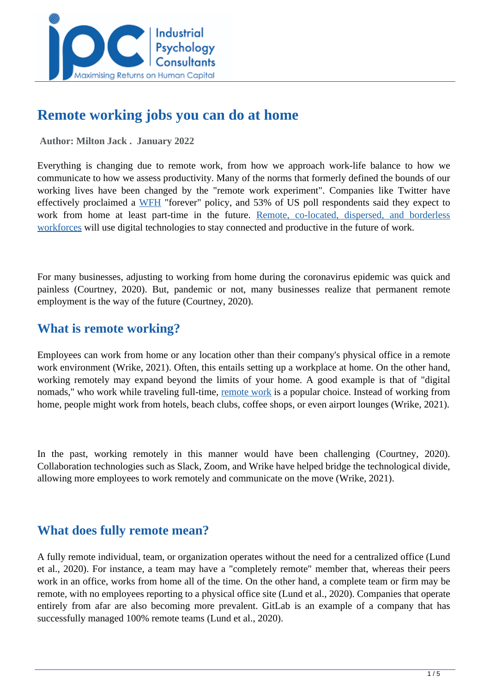

# **Remote working jobs you can do at home**

 **Author: Milton Jack . January 2022** 

Everything is changing due to remote work, from how we approach work-life balance to how we communicate to how we assess productivity. Many of the norms that formerly defined the bounds of our working lives have been changed by the "remote work experiment". Companies like Twitter have effectively proclaimed a [WFH](https://www.wrike.com/remote-work-guide/what-is-remote-work/) "forever" policy, and 53% of US poll respondents said they expect to work from home at least part-time in the future. [Remote, co-located, dispersed, and borderless](https://www.wrike.com/remote-work-guide/what-is-remote-work/) [workforces](https://www.wrike.com/remote-work-guide/what-is-remote-work/) will use digital technologies to stay connected and productive in the future of work.

For many businesses, adjusting to working from home during the coronavirus epidemic was quick and painless (Courtney, 2020). But, pandemic or not, many businesses realize that permanent remote employment is the way of the future (Courtney, 2020).

## **What is remote working?**

Employees can work from home or any location other than their company's physical office in a remote work environment (Wrike, 2021). Often, this entails setting up a workplace at home. On the other hand, working remotely may expand beyond the limits of your home. A good example is that of "digital nomads," who work while traveling full-time, [remote work](https://escalla.co.uk/blog-remote-working-5-benefits-challenges/) is a popular choice. Instead of working from home, people might work from hotels, beach clubs, coffee shops, or even airport lounges (Wrike, 2021).

In the past, working remotely in this manner would have been challenging (Courtney, 2020). Collaboration technologies such as Slack, Zoom, and Wrike have helped bridge the technological divide, allowing more employees to work remotely and communicate on the move (Wrike, 2021).

## **What does fully remote mean?**

A fully remote individual, team, or organization operates without the need for a centralized office (Lund et al., 2020). For instance, a team may have a "completely remote" member that, whereas their peers work in an office, works from home all of the time. On the other hand, a complete team or firm may be remote, with no employees reporting to a physical office site (Lund et al., 2020). Companies that operate entirely from afar are also becoming more prevalent. GitLab is an example of a company that has successfully managed 100% remote teams (Lund et al., 2020).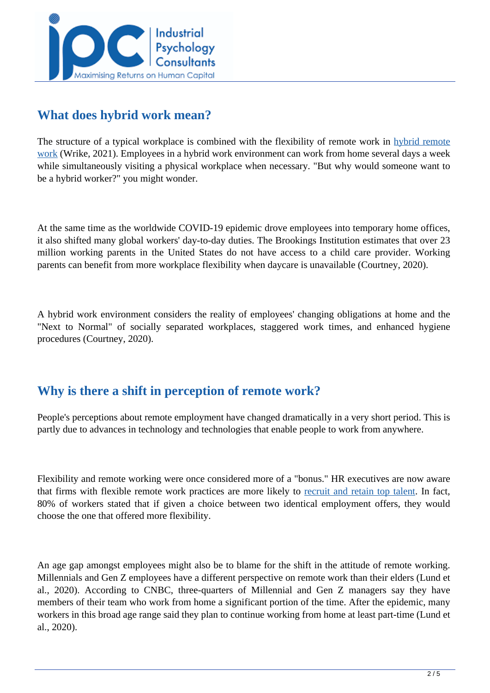

## **What does hybrid work mean?**

The structure of a typical workplace is combined with the flexibility of remote work in [hybrid remote](https://www.wrike.com/blog/introducing-hybrid-team-management/) [work](https://www.wrike.com/blog/introducing-hybrid-team-management/) (Wrike, 2021). Employees in a hybrid work environment can work from home several days a week while simultaneously visiting a physical workplace when necessary. "But why would someone want to be a hybrid worker?" you might wonder.

At the same time as the worldwide COVID-19 epidemic drove employees into temporary home offices, it also shifted many global workers' day-to-day duties. The Brookings Institution estimates that over 23 million working parents in the United States do not have access to a child care provider. Working parents can benefit from more workplace flexibility when daycare is unavailable (Courtney, 2020).

A hybrid work environment considers the reality of employees' changing obligations at home and the "Next to Normal" of socially separated workplaces, staggered work times, and enhanced hygiene procedures (Courtney, 2020).

# **Why is there a shift in perception of remote work?**

People's perceptions about remote employment have changed dramatically in a very short period. This is partly due to advances in technology and technologies that enable people to work from anywhere.

Flexibility and remote working were once considered more of a "bonus." HR executives are now aware that firms with flexible remote work practices are more likely to [recruit and retain top talent.](https://www.mckinsey.com/featured-insights/future-of-work/whats-next-for-remote-work-an-analysis-of-2000-tasks-800-jobs-and-nine-countries) In fact, 80% of workers stated that if given a choice between two identical employment offers, they would choose the one that offered more flexibility.

An age gap amongst employees might also be to blame for the shift in the attitude of remote working. Millennials and Gen Z employees have a different perspective on remote work than their elders (Lund et al., 2020). According to CNBC, three-quarters of Millennial and Gen Z managers say they have members of their team who work from home a significant portion of the time. After the epidemic, many workers in this broad age range said they plan to continue working from home at least part-time (Lund et al., 2020).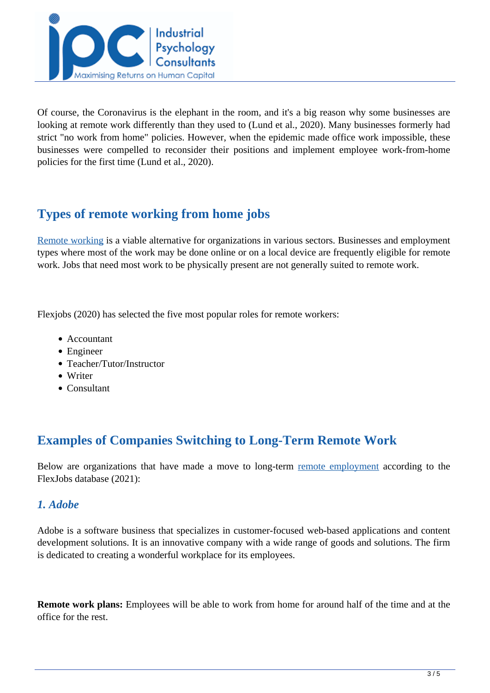

Of course, the Coronavirus is the elephant in the room, and it's a big reason why some businesses are looking at remote work differently than they used to (Lund et al., 2020). Many businesses formerly had strict "no work from home" policies. However, when the epidemic made office work impossible, these businesses were compelled to reconsider their positions and implement employee work-from-home policies for the first time (Lund et al., 2020).

## **Types of remote working from home jobs**

[Remote working](https://www.mckinsey.com/featured-insights/future-of-work/whats-next-for-remote-work-an-analysis-of-2000-tasks-800-jobs-and-nine-countries) is a viable alternative for organizations in various sectors. Businesses and employment types where most of the work may be done online or on a local device are frequently eligible for remote work. Jobs that need most work to be physically present are not generally suited to remote work.

Flexjobs (2020) has selected the five most popular roles for remote workers:

- Accountant
- Engineer
- Teacher/Tutor/Instructor
- Writer
- Consultant

## **Examples of Companies Switching to Long-Term Remote Work**

Below are organizations that have made a move to long-term [remote employment](https://www.flexjobs.com/blog/post/companies-switching-remote-work-long-term/) according to the FlexJobs database (2021):

### *1. Adobe*

Adobe is a software business that specializes in customer-focused web-based applications and content development solutions. It is an innovative company with a wide range of goods and solutions. The firm is dedicated to creating a wonderful workplace for its employees.

**Remote work plans:** Employees will be able to work from home for around half of the time and at the office for the rest.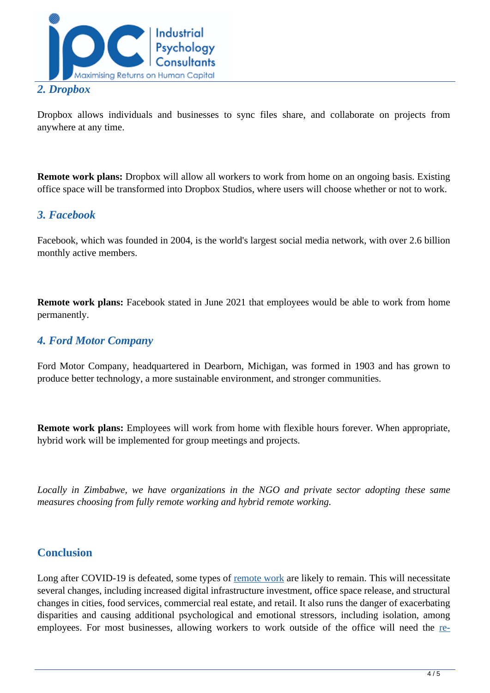

#### *2. Dropbox*

Dropbox allows individuals and businesses to sync files share, and collaborate on projects from anywhere at any time.

**Remote work plans:** Dropbox will allow all workers to work from home on an ongoing basis. Existing office space will be transformed into Dropbox Studios, where users will choose whether or not to work.

### *3. Facebook*

Facebook, which was founded in 2004, is the world's largest social media network, with over 2.6 billion monthly active members.

**Remote work plans:** Facebook stated in June 2021 that employees would be able to work from home permanently.

### *4. Ford Motor Company*

Ford Motor Company, headquartered in Dearborn, Michigan, was formed in 1903 and has grown to produce better technology, a more sustainable environment, and stronger communities.

**Remote work plans:** Employees will work from home with flexible hours forever. When appropriate, hybrid work will be implemented for group meetings and projects.

*Locally in Zimbabwe, we have organizations in the NGO and private sector adopting these same measures choosing from fully remote working and hybrid remote working.* 

#### **Conclusion**

Long after COVID-19 is defeated, some types of [remote work](https://www.mckinsey.com/featured-insights/future-of-work/whats-next-for-remote-work-an-analysis-of-2000-tasks-800-jobs-and-nine-countries) are likely to remain. This will necessitate several changes, including increased digital infrastructure investment, office space release, and structural changes in cities, food services, commercial real estate, and retail. It also runs the danger of exacerbating disparities and causing additional psychological and emotional stressors, including isolation, among employees. For most businesses, allowing workers to work outside of the office will need the [re-](https://www.mckinsey.com/featured-insights/future-of-work/whats-next-for-remote-work-an-analysis-of-2000-tasks-800-jobs-and-nine-countries)